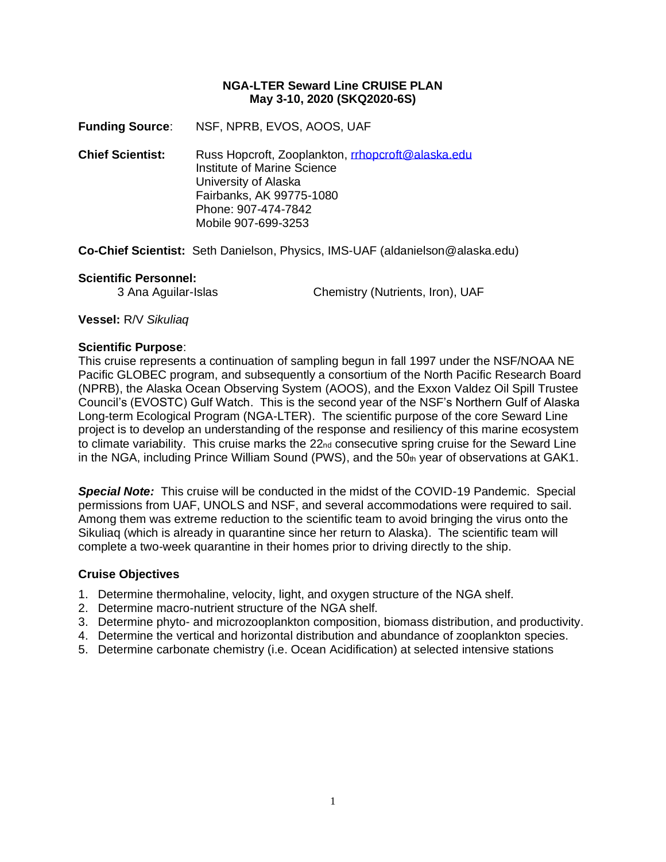#### **NGA-LTER Seward Line CRUISE PLAN May 3-10, 2020 (SKQ2020-6S)**

**Funding Source**: NSF, NPRB, EVOS, AOOS, UAF

**Chief Scientist:** Russ Hopcroft, Zooplankton, [rrhopcroft@alaska.edu](mailto:rrhopcroft@alaska.edu) Institute of Marine Science University of Alaska Fairbanks, AK 99775-1080 Phone: 907-474-7842 Mobile 907-699-3253

**Co-Chief Scientist:** Seth Danielson, Physics, IMS-UAF (aldanielson@alaska.edu)

#### **Scientific Personnel:**

3 Ana Aguilar-Islas Chemistry (Nutrients, Iron), UAF

**Vessel:** R/V *Sikuliaq*

#### **Scientific Purpose**:

This cruise represents a continuation of sampling begun in fall 1997 under the NSF/NOAA NE Pacific GLOBEC program, and subsequently a consortium of the North Pacific Research Board (NPRB), the Alaska Ocean Observing System (AOOS), and the Exxon Valdez Oil Spill Trustee Council's (EVOSTC) Gulf Watch. This is the second year of the NSF's Northern Gulf of Alaska Long-term Ecological Program (NGA-LTER). The scientific purpose of the core Seward Line project is to develop an understanding of the response and resiliency of this marine ecosystem to climate variability. This cruise marks the 22<sub>nd</sub> consecutive spring cruise for the Seward Line in the NGA, including Prince William Sound (PWS), and the  $50<sub>th</sub>$  year of observations at GAK1.

*Special Note:* This cruise will be conducted in the midst of the COVID-19 Pandemic. Special permissions from UAF, UNOLS and NSF, and several accommodations were required to sail. Among them was extreme reduction to the scientific team to avoid bringing the virus onto the Sikuliaq (which is already in quarantine since her return to Alaska). The scientific team will complete a two-week quarantine in their homes prior to driving directly to the ship.

#### **Cruise Objectives**

- 1. Determine thermohaline, velocity, light, and oxygen structure of the NGA shelf.
- 2. Determine macro-nutrient structure of the NGA shelf.
- 3. Determine phyto- and microzooplankton composition, biomass distribution, and productivity.
- 4. Determine the vertical and horizontal distribution and abundance of zooplankton species.
- 5. Determine carbonate chemistry (i.e. Ocean Acidification) at selected intensive stations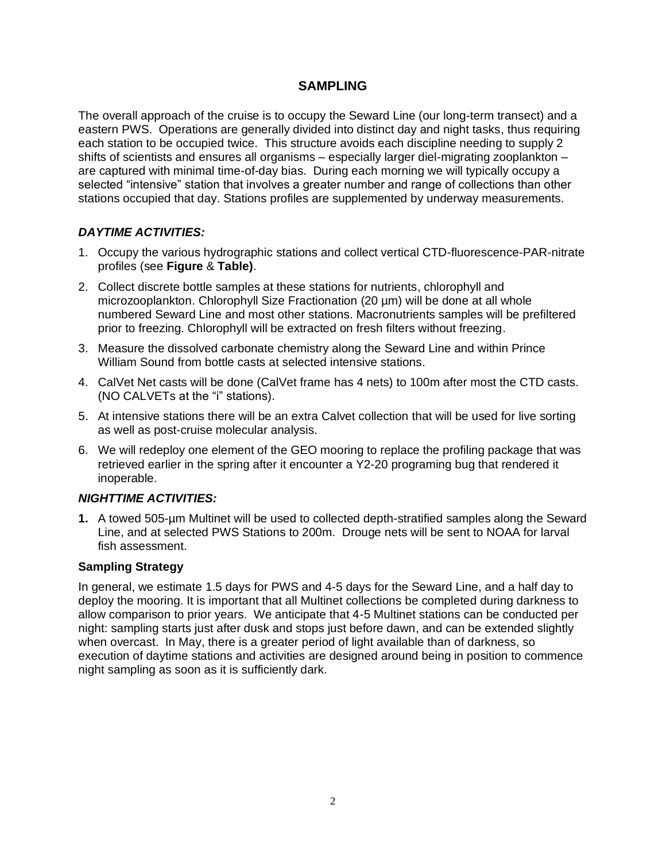## **SAMPLING**

The overall approach of the cruise is to occupy the Seward Line (our long-term transect) and a eastern PWS. Operations are generally divided into distinct day and night tasks, thus requiring each station to be occupied twice. This structure avoids each discipline needing to supply 2 shifts of scientists and ensures all organisms – especially larger diel-migrating zooplankton – are captured with minimal time-of-day bias. During each morning we will typically occupy a selected "intensive" station that involves a greater number and range of collections than other stations occupied that day. Stations profiles are supplemented by underway measurements.

## *DAYTIME ACTIVITIES:*

- 1. Occupy the various hydrographic stations and collect vertical CTD-fluorescence-PAR-nitrate profiles (see **Figure** & **Table)**.
- 2. Collect discrete bottle samples at these stations for nutrients, chlorophyll and microzooplankton. Chlorophyll Size Fractionation (20 µm) will be done at all whole numbered Seward Line and most other stations. Macronutrients samples will be prefiltered prior to freezing. Chlorophyll will be extracted on fresh filters without freezing.
- 3. Measure the dissolved carbonate chemistry along the Seward Line and within Prince William Sound from bottle casts at selected intensive stations.
- 4. CalVet Net casts will be done (CalVet frame has 4 nets) to 100m after most the CTD casts. (NO CALVETs at the "i" stations).
- 5. At intensive stations there will be an extra Calvet collection that will be used for live sorting as well as post-cruise molecular analysis.
- 6. We will redeploy one element of the GEO mooring to replace the profiling package that was retrieved earlier in the spring after it encounter a Y2-20 programing bug that rendered it inoperable.

## *NIGHTTIME ACTIVITIES:*

**1.** A towed 505-µm Multinet will be used to collected depth-stratified samples along the Seward Line, and at selected PWS Stations to 200m. Drouge nets will be sent to NOAA for larval fish assessment.

## **Sampling Strategy**

In general, we estimate 1.5 days for PWS and 4-5 days for the Seward Line, and a half day to deploy the mooring. It is important that all Multinet collections be completed during darkness to allow comparison to prior years. We anticipate that 4-5 Multinet stations can be conducted per night: sampling starts just after dusk and stops just before dawn, and can be extended slightly when overcast. In May, there is a greater period of light available than of darkness, so execution of daytime stations and activities are designed around being in position to commence night sampling as soon as it is sufficiently dark.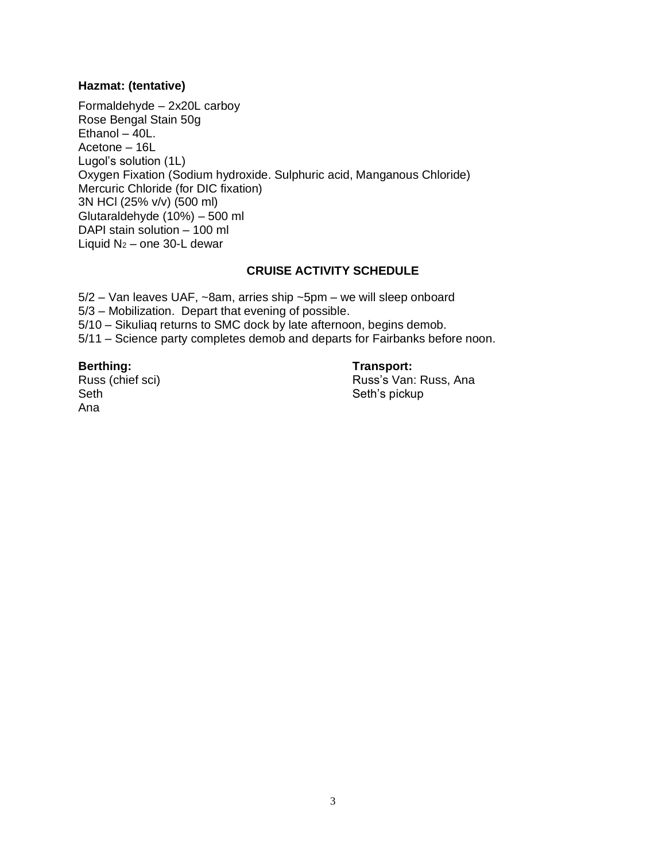# **Hazmat: (tentative)**

Formaldehyde – 2x20L carboy Rose Bengal Stain 50g Ethanol  $-40$ L. Acetone – 16L Lugol's solution (1L) Oxygen Fixation (Sodium hydroxide. Sulphuric acid, Manganous Chloride) Mercuric Chloride (for DIC fixation) 3N HCl (25% v/v) (500 ml) Glutaraldehyde (10%) – 500 ml DAPI stain solution – 100 ml Liquid  $N_2$  – one 30-L dewar

## **CRUISE ACTIVITY SCHEDULE**

5/2 – Van leaves UAF, ~8am, arries ship ~5pm – we will sleep onboard 5/3 – Mobilization. Depart that evening of possible. 5/10 – Sikuliaq returns to SMC dock by late afternoon, begins demob. 5/11 – Science party completes demob and departs for Fairbanks before noon.

#### **Berthing:**

Russ (chief sci) Seth Ana

#### **Transport:**

Russ's Van: Russ, Ana Seth's pickup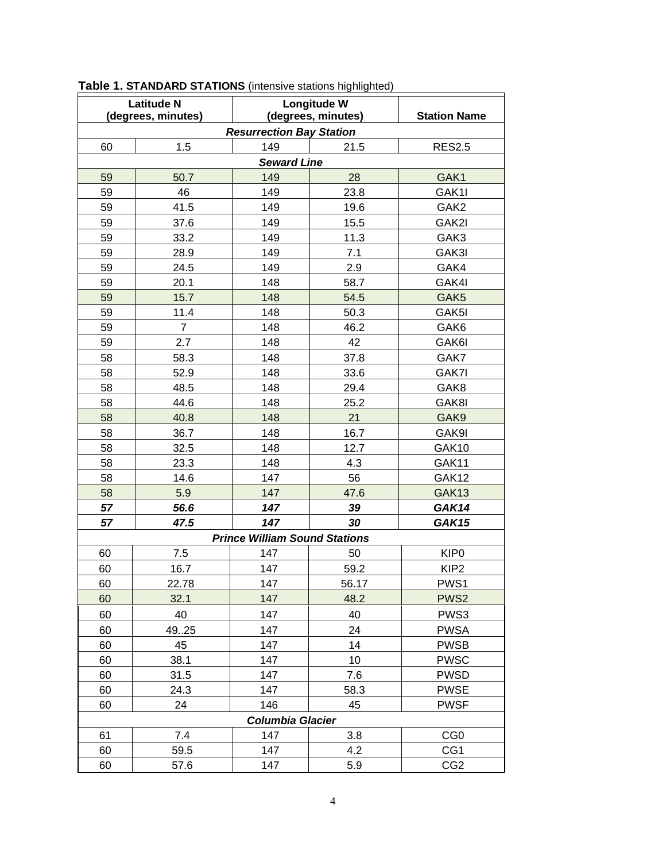| <b>Latitude N</b>                    |                | Longitude W        |       |                     |  |  |  |
|--------------------------------------|----------------|--------------------|-------|---------------------|--|--|--|
| (degrees, minutes)                   |                | (degrees, minutes) |       | <b>Station Name</b> |  |  |  |
| <b>Resurrection Bay Station</b>      |                |                    |       |                     |  |  |  |
| 60                                   | 1.5            | 149                | 21.5  | <b>RES2.5</b>       |  |  |  |
| <b>Seward Line</b>                   |                |                    |       |                     |  |  |  |
| 59                                   | 50.7           | 149                | 28    | GAK1                |  |  |  |
| 59                                   | 46             | 149                | 23.8  | GAK1I               |  |  |  |
| 59                                   | 41.5           | 149                | 19.6  | GAK <sub>2</sub>    |  |  |  |
| 59                                   | 37.6           | 149                | 15.5  | GAK2I               |  |  |  |
| 59                                   | 33.2           | 149                | 11.3  | GAK3                |  |  |  |
| 59                                   | 28.9           | 149                | 7.1   | GAK3I               |  |  |  |
| 59                                   | 24.5           | 149                | 2.9   | GAK4                |  |  |  |
| 59                                   | 20.1           | 148                | 58.7  | GAK4I               |  |  |  |
| 59                                   | 15.7           | 148                | 54.5  | GAK <sub>5</sub>    |  |  |  |
| 59                                   | 11.4           | 148                | 50.3  | GAK5I               |  |  |  |
| 59                                   | $\overline{7}$ | 148                | 46.2  | GAK6                |  |  |  |
| 59                                   | 2.7            | 148                | 42    | GAK6I               |  |  |  |
| 58                                   | 58.3           | 148                | 37.8  | GAK7                |  |  |  |
| 58                                   | 52.9           | 148                | 33.6  | GAK7I               |  |  |  |
| 58                                   | 48.5           | 148                | 29.4  | GAK8                |  |  |  |
| 58                                   | 44.6           | 148                | 25.2  | GAK8I               |  |  |  |
| 58                                   | 40.8           | 148                | 21    | GAK9                |  |  |  |
| 58                                   | 36.7           | 148                | 16.7  | GAK9I               |  |  |  |
| 58                                   | 32.5           | 148                | 12.7  | GAK10               |  |  |  |
| 58                                   | 23.3           | 148                | 4.3   | GAK11               |  |  |  |
| 58                                   | 14.6           | 147                | 56    | GAK12               |  |  |  |
| 58                                   | 5.9            | 147                | 47.6  | GAK13               |  |  |  |
| 57                                   | 56.6           | 147                | 39    | GAK14               |  |  |  |
| 57                                   | 47.5           | 147                | 30    | <b>GAK15</b>        |  |  |  |
| <b>Prince William Sound Stations</b> |                |                    |       |                     |  |  |  |
| 60                                   | 7.5            | 147                | 50    | KIP <sub>0</sub>    |  |  |  |
| 60                                   | 16.7           | 147                | 59.2  | KIP <sub>2</sub>    |  |  |  |
| 60                                   | 22.78          | 147                | 56.17 | PWS1                |  |  |  |
| 60                                   | 32.1           | 147                | 48.2  | PWS <sub>2</sub>    |  |  |  |
| 60                                   | 40             | 147                | 40    | PWS3                |  |  |  |
| 60                                   | 4925           | 147                | 24    | <b>PWSA</b>         |  |  |  |
| 60                                   | 45             | 147                | 14    | <b>PWSB</b>         |  |  |  |
| 60                                   | 38.1           | 147                | 10    | <b>PWSC</b>         |  |  |  |
| 60                                   | 31.5           | 147                | 7.6   | <b>PWSD</b>         |  |  |  |
| 60                                   | 24.3           | 147                | 58.3  | <b>PWSE</b>         |  |  |  |
| 60                                   | 24             | 146                | 45    | <b>PWSF</b>         |  |  |  |
| <b>Columbia Glacier</b>              |                |                    |       |                     |  |  |  |
| 61                                   | 7.4            | 147                | 3.8   | CG <sub>0</sub>     |  |  |  |
| 60                                   | 59.5           | 147                | 4.2   | CG1                 |  |  |  |
| 60                                   | 57.6           | 147                | 5.9   | CG <sub>2</sub>     |  |  |  |

**Table 1. STANDARD STATIONS** (intensive stations highlighted)